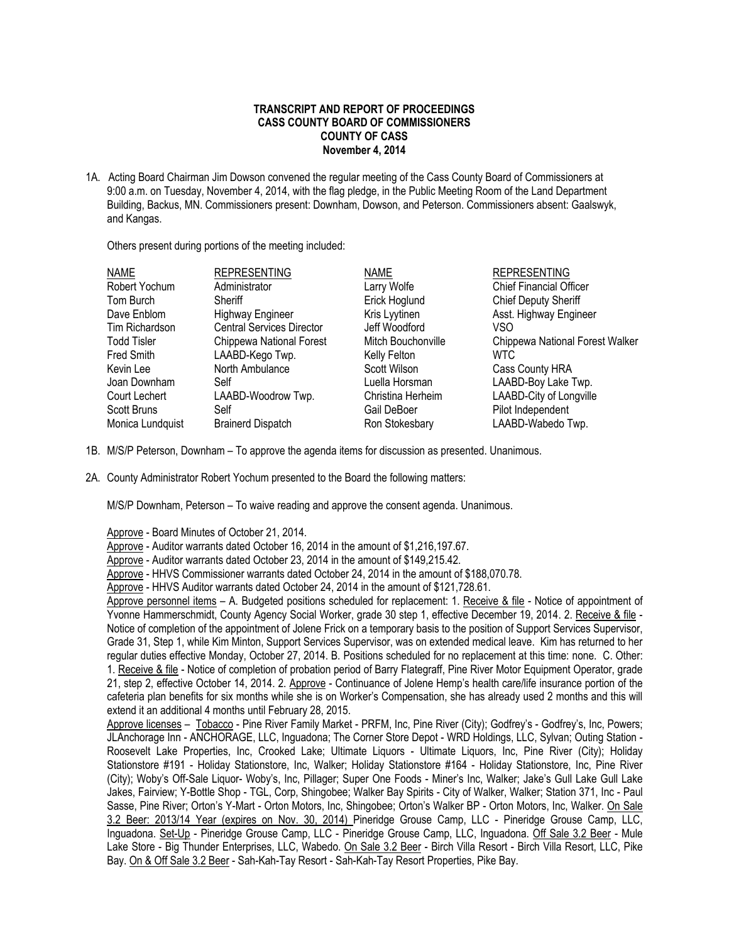## **TRANSCRIPT AND REPORT OF PROCEEDINGS CASS COUNTY BOARD OF COMMISSIONERS COUNTY OF CASS November 4, 2014**

1A. Acting Board Chairman Jim Dowson convened the regular meeting of the Cass County Board of Commissioners at 9:00 a.m. on Tuesday, November 4, 2014, with the flag pledge, in the Public Meeting Room of the Land Department Building, Backus, MN. Commissioners present: Downham, Dowson, and Peterson. Commissioners absent: Gaalswyk, and Kangas.

Others present during portions of the meeting included:

| <b>NAME</b>        | <b>REPRESENTING</b>              | <b>NAME</b>        | <b>REPRESENTING</b>             |
|--------------------|----------------------------------|--------------------|---------------------------------|
| Robert Yochum      | Administrator                    | Larry Wolfe        | <b>Chief Financial Officer</b>  |
| Tom Burch          | Sheriff                          | Erick Hoglund      | <b>Chief Deputy Sheriff</b>     |
| Dave Enblom        | <b>Highway Engineer</b>          | Kris Lyytinen      | Asst. Highway Engineer          |
| Tim Richardson     | <b>Central Services Director</b> | Jeff Woodford      | VSO                             |
| <b>Todd Tisler</b> | Chippewa National Forest         | Mitch Bouchonville | Chippewa National Forest Walker |
| <b>Fred Smith</b>  | LAABD-Kego Twp.                  | Kelly Felton       | WTC                             |
| Kevin Lee          | North Ambulance                  | Scott Wilson       | Cass County HRA                 |
| Joan Downham       | Self                             | Luella Horsman     | LAABD-Boy Lake Twp.             |
| Court Lechert      | LAABD-Woodrow Twp.               | Christina Herheim  | LAABD-City of Longville         |
| Scott Bruns        | Self                             | Gail DeBoer        | Pilot Independent               |
| Monica Lundquist   | <b>Brainerd Dispatch</b>         | Ron Stokesbary     | LAABD-Wabedo Twp.               |

- 1B. M/S/P Peterson, Downham To approve the agenda items for discussion as presented. Unanimous.
- 2A. County Administrator Robert Yochum presented to the Board the following matters:

M/S/P Downham, Peterson – To waive reading and approve the consent agenda. Unanimous.

Approve - Board Minutes of October 21, 2014.

Approve - Auditor warrants dated October 16, 2014 in the amount of \$1,216,197.67.

Approve - Auditor warrants dated October 23, 2014 in the amount of \$149,215.42.

Approve - HHVS Commissioner warrants dated October 24, 2014 in the amount of \$188,070.78.

Approve - HHVS Auditor warrants dated October 24, 2014 in the amount of \$121,728.61.

Approve personnel items - A. Budgeted positions scheduled for replacement: 1. Receive & file - Notice of appointment of Yvonne Hammerschmidt, County Agency Social Worker, grade 30 step 1, effective December 19, 2014. 2. Receive & file -Notice of completion of the appointment of Jolene Frick on a temporary basis to the position of Support Services Supervisor, Grade 31, Step 1, while Kim Minton, Support Services Supervisor, was on extended medical leave. Kim has returned to her regular duties effective Monday, October 27, 2014. B. Positions scheduled for no replacement at this time: none. C. Other: 1. Receive & file - Notice of completion of probation period of Barry Flategraff, Pine River Motor Equipment Operator, grade 21, step 2, effective October 14, 2014. 2. Approve - Continuance of Jolene Hemp's health care/life insurance portion of the cafeteria plan benefits for six months while she is on Worker's Compensation, she has already used 2 months and this will extend it an additional 4 months until February 28, 2015.

Approve licenses – Tobacco - Pine River Family Market - PRFM, Inc, Pine River (City); Godfrey's - Godfrey's, Inc, Powers; JLAnchorage Inn - ANCHORAGE, LLC, Inguadona; The Corner Store Depot - WRD Holdings, LLC, Sylvan; Outing Station - Roosevelt Lake Properties, Inc, Crooked Lake; Ultimate Liquors - Ultimate Liquors, Inc, Pine River (City); Holiday Stationstore #191 - Holiday Stationstore, Inc, Walker; Holiday Stationstore #164 - Holiday Stationstore, Inc, Pine River (City); Woby's Off-Sale Liquor- Woby's, Inc, Pillager; Super One Foods - Miner's Inc, Walker; Jake's Gull Lake Gull Lake Jakes, Fairview; Y-Bottle Shop - TGL, Corp, Shingobee; Walker Bay Spirits - City of Walker, Walker; Station 371, Inc - Paul Sasse, Pine River; Orton's Y-Mart - Orton Motors, Inc, Shingobee; Orton's Walker BP - Orton Motors, Inc, Walker. On Sale 3.2 Beer: 2013/14 Year (expires on Nov. 30, 2014) Pineridge Grouse Camp, LLC - Pineridge Grouse Camp, LLC, Inguadona. Set-Up - Pineridge Grouse Camp, LLC - Pineridge Grouse Camp, LLC, Inguadona. Off Sale 3.2 Beer - Mule Lake Store - Big Thunder Enterprises, LLC, Wabedo. On Sale 3.2 Beer - Birch Villa Resort - Birch Villa Resort, LLC, Pike Bay. On & Off Sale 3.2 Beer - Sah-Kah-Tay Resort - Sah-Kah-Tay Resort Properties, Pike Bay.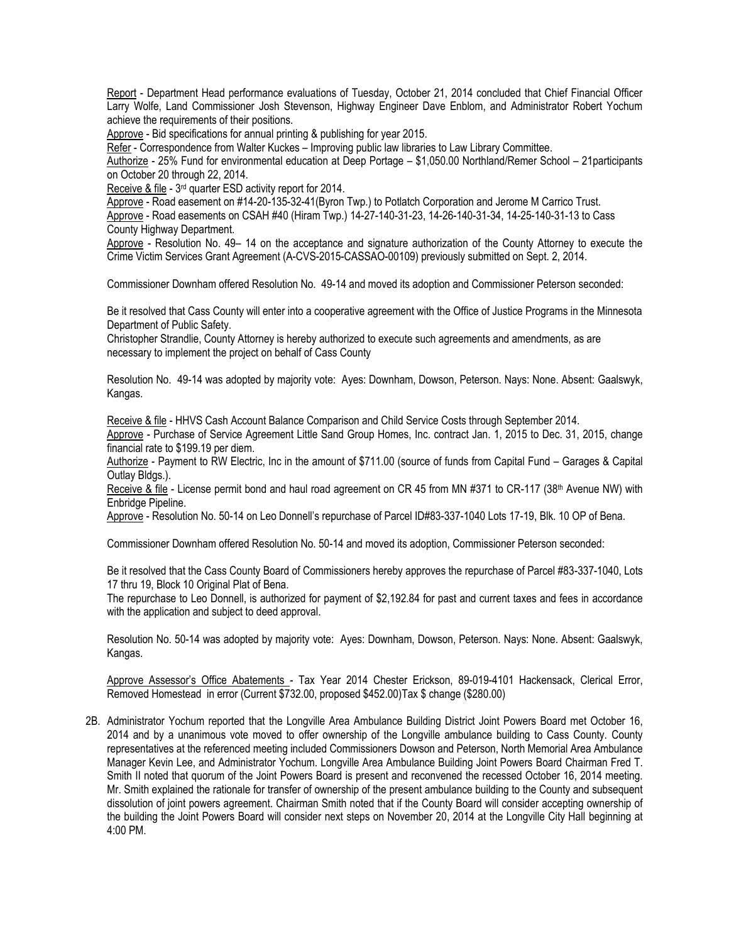Report - Department Head performance evaluations of Tuesday, October 21, 2014 concluded that Chief Financial Officer Larry Wolfe, Land Commissioner Josh Stevenson, Highway Engineer Dave Enblom, and Administrator Robert Yochum achieve the requirements of their positions.

Approve - Bid specifications for annual printing & publishing for year 2015.

Refer - Correspondence from Walter Kuckes – Improving public law libraries to Law Library Committee.

Authorize - 25% Fund for environmental education at Deep Portage – \$1,050.00 Northland/Remer School – 21participants on October 20 through 22, 2014.

Receive & file - 3<sup>rd</sup> quarter ESD activity report for 2014.

Approve - Road easement on #14-20-135-32-41(Byron Twp.) to Potlatch Corporation and Jerome M Carrico Trust. Approve - Road easements on CSAH #40 (Hiram Twp.) 14-27-140-31-23, 14-26-140-31-34, 14-25-140-31-13 to Cass County Highway Department.

Approve - Resolution No. 49– 14 on the acceptance and signature authorization of the County Attorney to execute the Crime Victim Services Grant Agreement (A-CVS-2015-CASSAO-00109) previously submitted on Sept. 2, 2014.

Commissioner Downham offered Resolution No. 49-14 and moved its adoption and Commissioner Peterson seconded:

Be it resolved that Cass County will enter into a cooperative agreement with the Office of Justice Programs in the Minnesota Department of Public Safety.

Christopher Strandlie, County Attorney is hereby authorized to execute such agreements and amendments, as are necessary to implement the project on behalf of Cass County

Resolution No. 49-14 was adopted by majority vote: Ayes: Downham, Dowson, Peterson. Nays: None. Absent: Gaalswyk, Kangas.

Receive & file - HHVS Cash Account Balance Comparison and Child Service Costs through September 2014. Approve - Purchase of Service Agreement Little Sand Group Homes, Inc. contract Jan. 1, 2015 to Dec. 31, 2015, change financial rate to \$199.19 per diem.

Authorize - Payment to RW Electric, Inc in the amount of \$711.00 (source of funds from Capital Fund – Garages & Capital Outlay Bldgs.).

Receive & file - License permit bond and haul road agreement on CR 45 from MN #371 to CR-117 (38<sup>th</sup> Avenue NW) with Enbridge Pipeline.

Approve - Resolution No. 50-14 on Leo Donnell's repurchase of Parcel ID#83-337-1040 Lots 17-19, Blk. 10 OP of Bena.

Commissioner Downham offered Resolution No. 50-14 and moved its adoption, Commissioner Peterson seconded:

Be it resolved that the Cass County Board of Commissioners hereby approves the repurchase of Parcel #83-337-1040, Lots 17 thru 19, Block 10 Original Plat of Bena.

The repurchase to Leo Donnell, is authorized for payment of \$2,192.84 for past and current taxes and fees in accordance with the application and subject to deed approval.

Resolution No. 50-14 was adopted by majority vote: Ayes: Downham, Dowson, Peterson. Nays: None. Absent: Gaalswyk, Kangas.

Approve Assessor's Office Abatements - Tax Year 2014 Chester Erickson, 89-019-4101 Hackensack, Clerical Error, Removed Homestead in error (Current \$732.00, proposed \$452.00)Tax \$ change (\$280.00)

2B. Administrator Yochum reported that the Longville Area Ambulance Building District Joint Powers Board met October 16, 2014 and by a unanimous vote moved to offer ownership of the Longville ambulance building to Cass County. County representatives at the referenced meeting included Commissioners Dowson and Peterson, North Memorial Area Ambulance Manager Kevin Lee, and Administrator Yochum. Longville Area Ambulance Building Joint Powers Board Chairman Fred T. Smith II noted that quorum of the Joint Powers Board is present and reconvened the recessed October 16, 2014 meeting. Mr. Smith explained the rationale for transfer of ownership of the present ambulance building to the County and subsequent dissolution of joint powers agreement. Chairman Smith noted that if the County Board will consider accepting ownership of the building the Joint Powers Board will consider next steps on November 20, 2014 at the Longville City Hall beginning at 4:00 PM.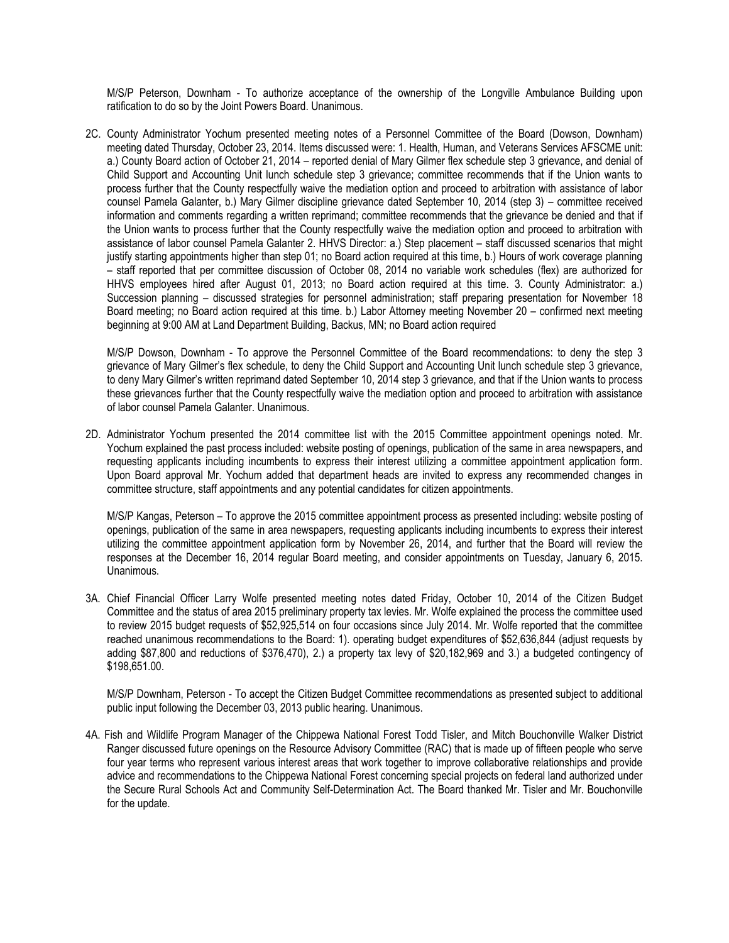M/S/P Peterson, Downham - To authorize acceptance of the ownership of the Longville Ambulance Building upon ratification to do so by the Joint Powers Board. Unanimous.

2C. County Administrator Yochum presented meeting notes of a Personnel Committee of the Board (Dowson, Downham) meeting dated Thursday, October 23, 2014. Items discussed were: 1. Health, Human, and Veterans Services AFSCME unit: a.) County Board action of October 21, 2014 – reported denial of Mary Gilmer flex schedule step 3 grievance, and denial of Child Support and Accounting Unit lunch schedule step 3 grievance; committee recommends that if the Union wants to process further that the County respectfully waive the mediation option and proceed to arbitration with assistance of labor counsel Pamela Galanter, b.) Mary Gilmer discipline grievance dated September 10, 2014 (step 3) – committee received information and comments regarding a written reprimand; committee recommends that the grievance be denied and that if the Union wants to process further that the County respectfully waive the mediation option and proceed to arbitration with assistance of labor counsel Pamela Galanter 2. HHVS Director: a.) Step placement – staff discussed scenarios that might justify starting appointments higher than step 01; no Board action required at this time, b.) Hours of work coverage planning – staff reported that per committee discussion of October 08, 2014 no variable work schedules (flex) are authorized for HHVS employees hired after August 01, 2013; no Board action required at this time. 3. County Administrator: a.) Succession planning – discussed strategies for personnel administration; staff preparing presentation for November 18 Board meeting; no Board action required at this time. b.) Labor Attorney meeting November 20 – confirmed next meeting beginning at 9:00 AM at Land Department Building, Backus, MN; no Board action required

M/S/P Dowson, Downham - To approve the Personnel Committee of the Board recommendations: to deny the step 3 grievance of Mary Gilmer's flex schedule, to deny the Child Support and Accounting Unit lunch schedule step 3 grievance, to deny Mary Gilmer's written reprimand dated September 10, 2014 step 3 grievance, and that if the Union wants to process these grievances further that the County respectfully waive the mediation option and proceed to arbitration with assistance of labor counsel Pamela Galanter. Unanimous.

2D. Administrator Yochum presented the 2014 committee list with the 2015 Committee appointment openings noted. Mr. Yochum explained the past process included: website posting of openings, publication of the same in area newspapers, and requesting applicants including incumbents to express their interest utilizing a committee appointment application form. Upon Board approval Mr. Yochum added that department heads are invited to express any recommended changes in committee structure, staff appointments and any potential candidates for citizen appointments.

M/S/P Kangas, Peterson – To approve the 2015 committee appointment process as presented including: website posting of openings, publication of the same in area newspapers, requesting applicants including incumbents to express their interest utilizing the committee appointment application form by November 26, 2014, and further that the Board will review the responses at the December 16, 2014 regular Board meeting, and consider appointments on Tuesday, January 6, 2015. Unanimous.

3A. Chief Financial Officer Larry Wolfe presented meeting notes dated Friday, October 10, 2014 of the Citizen Budget Committee and the status of area 2015 preliminary property tax levies. Mr. Wolfe explained the process the committee used to review 2015 budget requests of \$52,925,514 on four occasions since July 2014. Mr. Wolfe reported that the committee reached unanimous recommendations to the Board: 1). operating budget expenditures of \$52,636,844 (adjust requests by adding \$87,800 and reductions of \$376,470), 2.) a property tax levy of \$20,182,969 and 3.) a budgeted contingency of \$198,651.00.

M/S/P Downham, Peterson - To accept the Citizen Budget Committee recommendations as presented subject to additional public input following the December 03, 2013 public hearing. Unanimous.

4A. Fish and Wildlife Program Manager of the Chippewa National Forest Todd Tisler, and Mitch Bouchonville Walker District Ranger discussed future openings on the Resource Advisory Committee (RAC) that is made up of fifteen people who serve four year terms who represent various interest areas that work together to improve collaborative relationships and provide advice and recommendations to the Chippewa National Forest concerning special projects on federal land authorized under the Secure Rural Schools Act and Community Self-Determination Act. The Board thanked Mr. Tisler and Mr. Bouchonville for the update.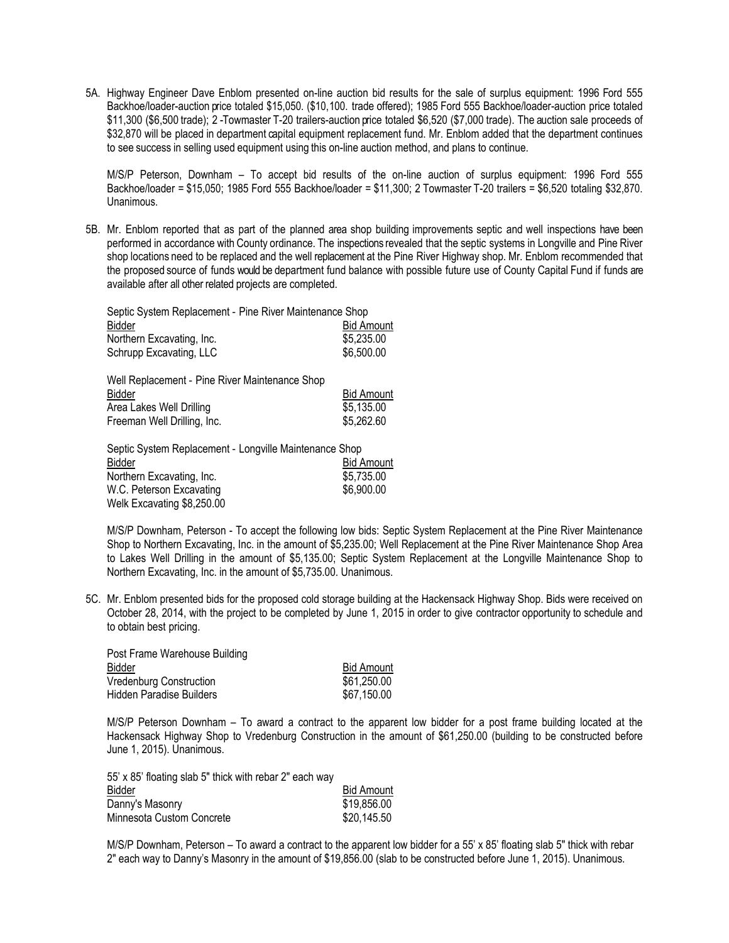5A. Highway Engineer Dave Enblom presented on-line auction bid results for the sale of surplus equipment: 1996 Ford 555 Backhoe/loader-auction price totaled \$15,050. (\$10,100. trade offered); 1985 Ford 555 Backhoe/loader-auction price totaled \$11,300 (\$6,500 trade); 2 -Towmaster T-20 trailers-auction price totaled \$6,520 (\$7,000 trade). The auction sale proceeds of \$32,870 will be placed in department capital equipment replacement fund. Mr. Enblom added that the department continues to see success in selling used equipment using this on-line auction method, and plans to continue.

M/S/P Peterson, Downham – To accept bid results of the on-line auction of surplus equipment: 1996 Ford 555 Backhoe/loader = \$15,050; 1985 Ford 555 Backhoe/loader = \$11,300; 2 Towmaster T-20 trailers = \$6,520 totaling \$32,870. Unanimous.

5B. Mr. Enblom reported that as part of the planned area shop building improvements septic and well inspections have been performed in accordance with County ordinance. The inspections revealed that the septic systems in Longville and Pine River shop locations need to be replaced and the well replacement at the Pine River Highway shop. Mr. Enblom recommended that the proposed source of funds would be department fund balance with possible future use of County Capital Fund if funds are available after all other related projects are completed.

| Septic System Replacement - Pine River Maintenance Shop |                   |  |
|---------------------------------------------------------|-------------------|--|
| Bidder                                                  | <b>Bid Amount</b> |  |
| Northern Excavating, Inc.                               | \$5,235.00        |  |
| Schrupp Excavating, LLC                                 | \$6,500.00        |  |

| Well Replacement - Pine River Maintenance Shop |                   |
|------------------------------------------------|-------------------|
| Bidder                                         | <b>Bid Amount</b> |
| Area Lakes Well Drilling                       | \$5,135.00        |
| Freeman Well Drilling, Inc.                    | \$5,262.60        |
|                                                |                   |

| Septic System Replacement - Longville Maintenance Shop |                   |
|--------------------------------------------------------|-------------------|
| Bidder                                                 | <b>Bid Amount</b> |
| Northern Excavating, Inc.                              | \$5,735.00        |
| W.C. Peterson Excavating                               | \$6,900.00        |
| Welk Excavating \$8,250.00                             |                   |

M/S/P Downham, Peterson - To accept the following low bids: Septic System Replacement at the Pine River Maintenance Shop to Northern Excavating, Inc. in the amount of \$5,235.00; Well Replacement at the Pine River Maintenance Shop Area to Lakes Well Drilling in the amount of \$5,135.00; Septic System Replacement at the Longville Maintenance Shop to Northern Excavating, Inc. in the amount of \$5,735.00. Unanimous.

5C. Mr. Enblom presented bids for the proposed cold storage building at the Hackensack Highway Shop. Bids were received on October 28, 2014, with the project to be completed by June 1, 2015 in order to give contractor opportunity to schedule and to obtain best pricing.

| Post Frame Warehouse Building   |                   |
|---------------------------------|-------------------|
| Bidder                          | <b>Bid Amount</b> |
| Vredenburg Construction         | \$61,250.00       |
| <b>Hidden Paradise Builders</b> | \$67,150.00       |

M/S/P Peterson Downham – To award a contract to the apparent low bidder for a post frame building located at the Hackensack Highway Shop to Vredenburg Construction in the amount of \$61,250.00 (building to be constructed before June 1, 2015). Unanimous.

| <b>Bid Amount</b> |
|-------------------|
| \$19,856.00       |
| \$20,145.50       |
|                   |

M/S/P Downham, Peterson – To award a contract to the apparent low bidder for a 55' x 85' floating slab 5" thick with rebar 2" each way to Danny's Masonry in the amount of \$19,856.00 (slab to be constructed before June 1, 2015). Unanimous.